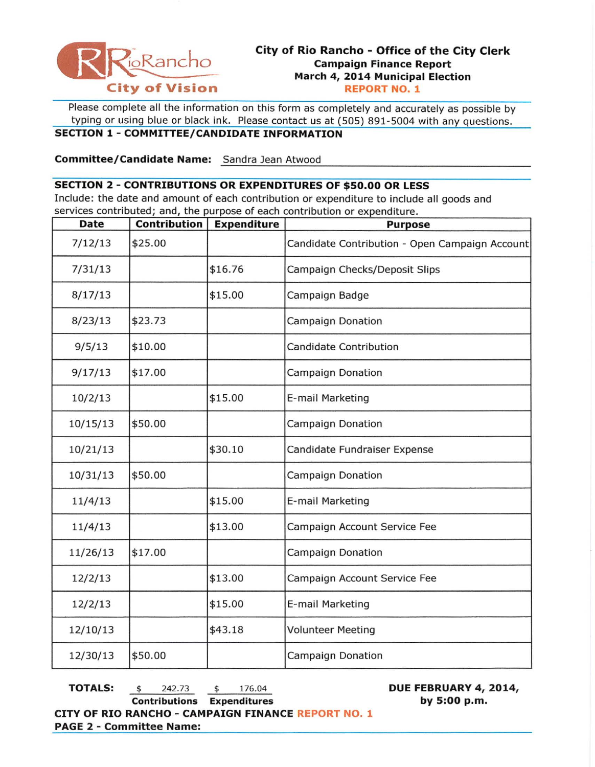

Please complete all the information on this form as completely and accurately as possible by typing or using blue or black ink. Please contact us at (505) 891-5004 with any questions.

## **SECTION 1- COMMITTEE/CANDIDATE INFORMATION**

**Committee/Candidate Name:** Sandra Jean Atwood

## **SECTION 2 - CONTRIBUTIONS OR EXPENDITURES OF \$50.00 OR LESS**

Include: the date and amount of each contribution or expenditure to include all goods and services contributed; and, the purpose of each contribution or expenditure.

| <b>Date</b> | <b>Contribution</b> | <b>Expenditure</b>                       | <b>Purpose</b>                                 |  |
|-------------|---------------------|------------------------------------------|------------------------------------------------|--|
| 7/12/13     | \$25.00             |                                          | Candidate Contribution - Open Campaign Account |  |
| 7/31/13     |                     | \$16.76<br>Campaign Checks/Deposit Slips |                                                |  |
| 8/17/13     |                     | \$15.00                                  | Campaign Badge                                 |  |
| 8/23/13     | \$23.73             |                                          | Campaign Donation                              |  |
| 9/5/13      | \$10.00             |                                          | <b>Candidate Contribution</b>                  |  |
| 9/17/13     | \$17.00             |                                          | <b>Campaign Donation</b>                       |  |
| 10/2/13     |                     | \$15.00                                  | E-mail Marketing                               |  |
| 10/15/13    | \$50.00             |                                          | <b>Campaign Donation</b>                       |  |
| 10/21/13    |                     | \$30.10                                  | Candidate Fundraiser Expense                   |  |
| 10/31/13    | \$50.00             |                                          | <b>Campaign Donation</b>                       |  |
| 11/4/13     |                     | \$15.00                                  | E-mail Marketing                               |  |
| 11/4/13     |                     | \$13.00                                  | Campaign Account Service Fee                   |  |
| 11/26/13    | \$17.00             |                                          | <b>Campaign Donation</b>                       |  |
| 12/2/13     |                     | \$13.00                                  | Campaign Account Service Fee                   |  |
| 12/2/13     |                     | \$15.00                                  | E-mail Marketing                               |  |
| 12/10/13    |                     | \$43.18                                  | <b>Volunteer Meeting</b>                       |  |
| 12/30/13    | \$50.00             |                                          | <b>Campaign Donation</b>                       |  |

**TOTALS:**  $\frac{242.73}{9}$   $\frac{4}{9}$  176.04 **Contributions Expenditures**  **DUE FEBRUARY 4, 2014, by 5:00p.m.** 

**CITY OF RIO RANCHO - CAMPAIGN FINANCE REPORT NO. 1 PAGE 2 - Committee Name:**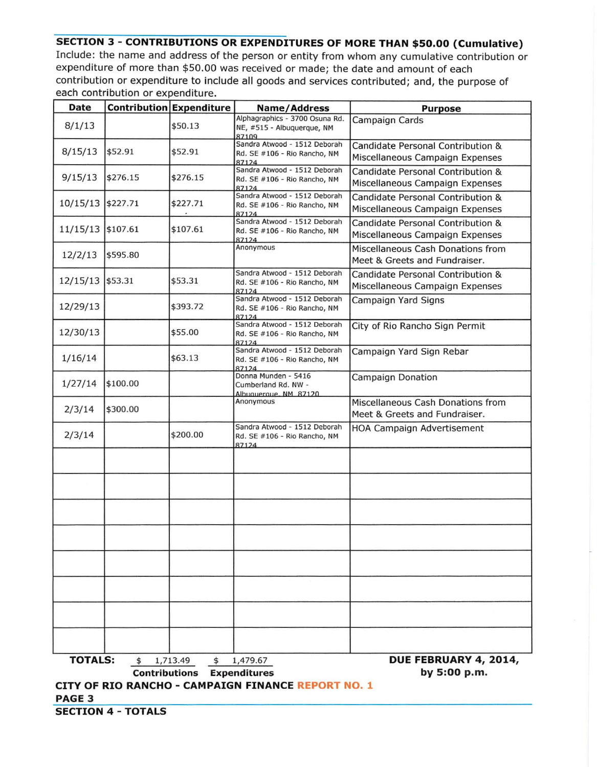## **SECTION 3- CONTRIBUTIONS OR EXPENDITURES OF MORE THAN \$50.00 {Cumulative)**  Include: the name and address of the person or entity from whom any cumulative contribution or expenditure of more than \$50 .00 was received or made; the date and amount of each contribution or expenditure to include all goods and services contributed; and, the purpose of each contribution or expenditure.

| <b>Date</b>                                                             |                                                                                                                                  | <b>Contribution Expenditure</b> | Name/Address                                                          | <b>Purpose</b>                                                       |  |
|-------------------------------------------------------------------------|----------------------------------------------------------------------------------------------------------------------------------|---------------------------------|-----------------------------------------------------------------------|----------------------------------------------------------------------|--|
| 8/1/13                                                                  |                                                                                                                                  | \$50.13                         | Alphagraphics - 3700 Osuna Rd.<br>NE, #515 - Albuquerque, NM<br>87109 | Campaign Cards                                                       |  |
| 8/15/13                                                                 | \$52.91                                                                                                                          | \$52.91                         | Sandra Atwood - 1512 Deborah<br>Rd. SE #106 - Rio Rancho, NM<br>87124 | Candidate Personal Contribution &<br>Miscellaneous Campaign Expenses |  |
| 9/15/13                                                                 | \$276.15                                                                                                                         | \$276.15                        | Sandra Atwood - 1512 Deborah<br>Rd. SE #106 - Rio Rancho, NM<br>87124 | Candidate Personal Contribution &<br>Miscellaneous Campaign Expenses |  |
| 10/15/13 \$227.71                                                       |                                                                                                                                  | \$227.71                        | Sandra Atwood - 1512 Deborah<br>Rd. SE #106 - Rio Rancho, NM<br>87124 | Candidate Personal Contribution &<br>Miscellaneous Campaign Expenses |  |
| 11/15/13 \$107.61                                                       |                                                                                                                                  | \$107.61                        | Sandra Atwood - 1512 Deborah<br>Rd. SE #106 - Rio Rancho, NM<br>87124 | Candidate Personal Contribution &<br>Miscellaneous Campaign Expenses |  |
| 12/2/13                                                                 | \$595.80                                                                                                                         |                                 | Anonymous                                                             | Miscellaneous Cash Donations from<br>Meet & Greets and Fundraiser.   |  |
| 12/15/13 \$53.31                                                        |                                                                                                                                  | \$53.31                         | Sandra Atwood - 1512 Deborah<br>Rd. SE #106 - Rio Rancho, NM<br>87124 | Candidate Personal Contribution &<br>Miscellaneous Campaign Expenses |  |
| 12/29/13                                                                |                                                                                                                                  | \$393.72                        | Sandra Atwood - 1512 Deborah<br>Rd. SE #106 - Rio Rancho, NM<br>87124 | Campaign Yard Signs                                                  |  |
| 12/30/13                                                                |                                                                                                                                  | \$55.00                         | Sandra Atwood - 1512 Deborah<br>Rd. SE #106 - Rio Rancho, NM<br>87124 | City of Rio Rancho Sign Permit                                       |  |
| 1/16/14                                                                 |                                                                                                                                  | \$63.13                         | Sandra Atwood - 1512 Deborah<br>Rd. SE #106 - Rio Rancho, NM<br>87124 | Campaign Yard Sign Rebar                                             |  |
| 1/27/14                                                                 | \$100.00                                                                                                                         |                                 | Donna Munden - 5416<br>Cumberland Rd. NW -<br>Albuquerque, NM 87120   | Campaign Donation                                                    |  |
| 2/3/14                                                                  | \$300.00                                                                                                                         |                                 | Anonymous                                                             | Miscellaneous Cash Donations from<br>Meet & Greets and Fundraiser.   |  |
| 2/3/14                                                                  |                                                                                                                                  | \$200.00                        | Sandra Atwood - 1512 Deborah<br>Rd. SE #106 - Rio Rancho, NM<br>87124 | <b>HOA Campaign Advertisement</b>                                    |  |
|                                                                         |                                                                                                                                  |                                 |                                                                       |                                                                      |  |
|                                                                         |                                                                                                                                  |                                 |                                                                       |                                                                      |  |
|                                                                         |                                                                                                                                  |                                 |                                                                       |                                                                      |  |
|                                                                         |                                                                                                                                  |                                 |                                                                       |                                                                      |  |
|                                                                         |                                                                                                                                  |                                 |                                                                       |                                                                      |  |
|                                                                         |                                                                                                                                  |                                 |                                                                       |                                                                      |  |
|                                                                         |                                                                                                                                  |                                 |                                                                       |                                                                      |  |
|                                                                         |                                                                                                                                  |                                 |                                                                       |                                                                      |  |
|                                                                         | <b>TOTALS:</b><br>DUE FEBRUARY 4, 2014,<br>1,713.49<br>\$<br>1,479.67<br>\$<br><b>Contributions Expenditures</b><br>by 5:00 p.m. |                                 |                                                                       |                                                                      |  |
| CITY OF RIO RANCHO - CAMPAIGN FINANCE REPORT NO. 1<br>PAGE <sub>3</sub> |                                                                                                                                  |                                 |                                                                       |                                                                      |  |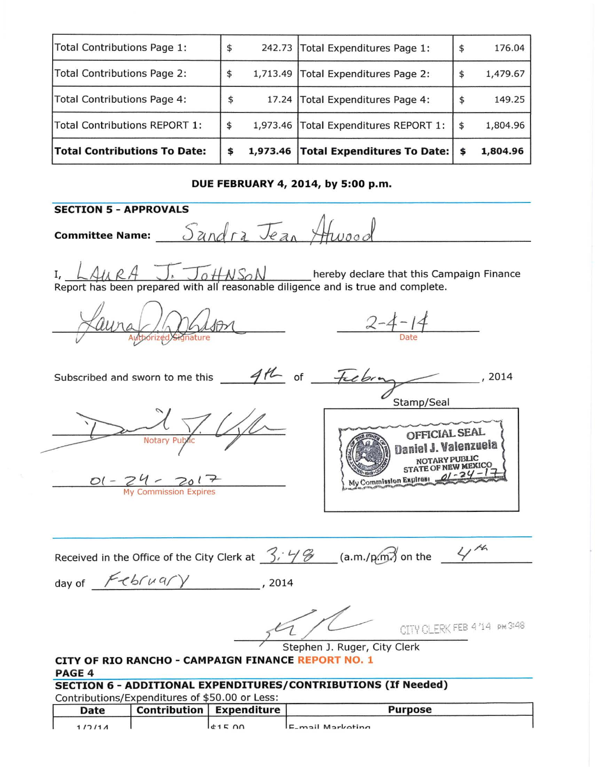| Total Contributions Page 1:         | \$             | 242.73 Total Expenditures Page 1:       | \$<br>176.04   |
|-------------------------------------|----------------|-----------------------------------------|----------------|
| Total Contributions Page 2:         |                | 1,713.49 Total Expenditures Page 2:     | \$<br>1,479.67 |
| Total Contributions Page 4:         | \$             | 17.24 Total Expenditures Page 4:        | \$<br>149.25   |
| Total Contributions REPORT 1:       | \$             | 1,973.46   Total Expenditures REPORT 1: | \$<br>1,804.96 |
| <b>Total Contributions To Date:</b> | \$<br>1,973.46 | Total Expenditures To Date:   \$        | 1,804.96       |

## DUE FEBRUARY 4, 2014, by 5:00 p.m.

SECTION 5- APPROVALS  ${\sf committee \, Name:}$   $Sandra$   $\overline{Va}$ I, *L411.. gA -:T::T{;.tf-NS0* N hereby declare that this campaign Finance Report has been prepared with all reasonable diligence and is true and complete. *2-4- <sup>11</sup>* Date Subscribed and sworn to me this  $-4\frac{14}{5}$  of  $-7\frac{1}{5}$  for  $14$ Stamp/Seal oFFICIAL SEAL Valenzuela NOTARVPUBUC STATE OF NEW MEXICO 0( - *2 l1* ,.- 'Po l ~ My Commission Expires: My Commission Expires Received in the Office of the City Clerk at  $\frac{3.46}{3.46}$  (a.m./pm) on the  $\frac{4.44}{3.46}$ day of  $F\ll b\sqrt{C\sqrt{V}}$ , 2014 CITY CLERK FEB 4'14 Stephen J. Ruger, City Clerk CITY OF RIO RANCHO - CAMPAIGN FINANCE REPORT NO. 1 PAGE 4 SECTION 6 - ADDITIONAL EXPENDITURES/CONTRIBUTIONS (If Needed) Contributions/Expenditures of \$50.00 or Less: Date Contribution Expenditure **Purpose**  $1/2/11$  determines  $E_{\text{-}}$ mail Markating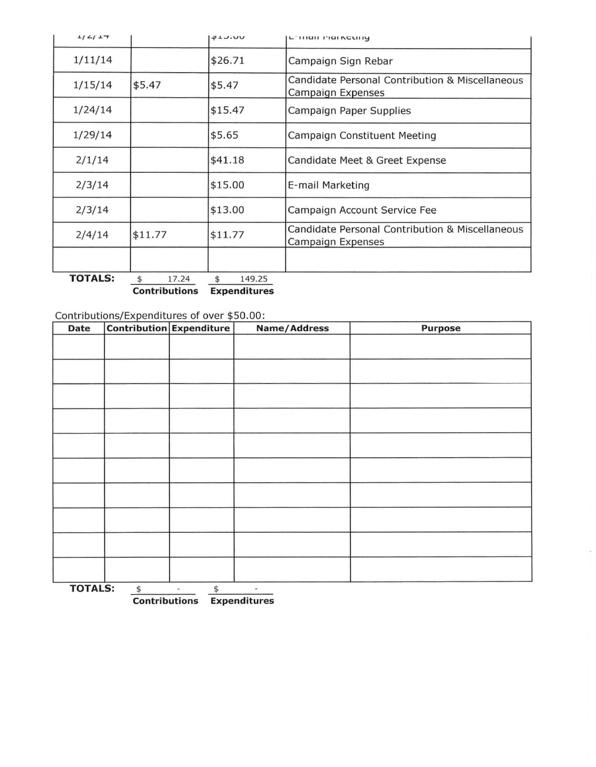| 1/2/17         |             | 41.00                                                                          | Landi rigineung                                                      |
|----------------|-------------|--------------------------------------------------------------------------------|----------------------------------------------------------------------|
| 1/11/14        |             | \$26.71                                                                        | Campaign Sign Rebar                                                  |
| 1/15/14        | \$5.47      | Candidate Personal Contribution & Miscellaneous<br>\$5.47<br>Campaign Expenses |                                                                      |
| 1/24/14        |             | \$15.47                                                                        | Campaign Paper Supplies                                              |
| 1/29/14        |             | \$5.65                                                                         | Campaign Constituent Meeting                                         |
| 2/1/14         |             | \$41.18                                                                        | Candidate Meet & Greet Expense                                       |
| 2/3/14         |             | \$15.00                                                                        | E-mail Marketing                                                     |
| 2/3/14         |             | \$13.00                                                                        | Campaign Account Service Fee                                         |
| 2/4/14         | \$11.77     | \$11.77                                                                        | Candidate Personal Contribution & Miscellaneous<br>Campaign Expenses |
|                |             |                                                                                |                                                                      |
| <b>TOTALS:</b> | 17.24<br>\$ | 149.25<br>\$                                                                   |                                                                      |

**Contributions Expenditures** 

Contributions/Expenditures of over \$50 .00:

| Date           |              | Contribution Expenditure       | Name/Address             | Purpose |
|----------------|--------------|--------------------------------|--------------------------|---------|
|                |              |                                |                          |         |
|                |              |                                |                          |         |
|                |              |                                |                          |         |
|                |              |                                |                          |         |
|                |              |                                |                          |         |
|                |              |                                |                          |         |
|                |              |                                |                          |         |
|                |              |                                |                          |         |
|                |              |                                |                          |         |
|                |              |                                |                          |         |
|                |              |                                |                          |         |
|                |              |                                |                          |         |
|                |              |                                |                          |         |
|                |              |                                |                          |         |
|                |              |                                |                          |         |
|                |              |                                |                          |         |
|                |              |                                |                          |         |
|                |              |                                |                          |         |
| <b>TOTALS:</b> | $\spadesuit$ | \$<br>$\overline{\phantom{a}}$ | $\overline{\phantom{a}}$ |         |

**Contributions Expenditures**